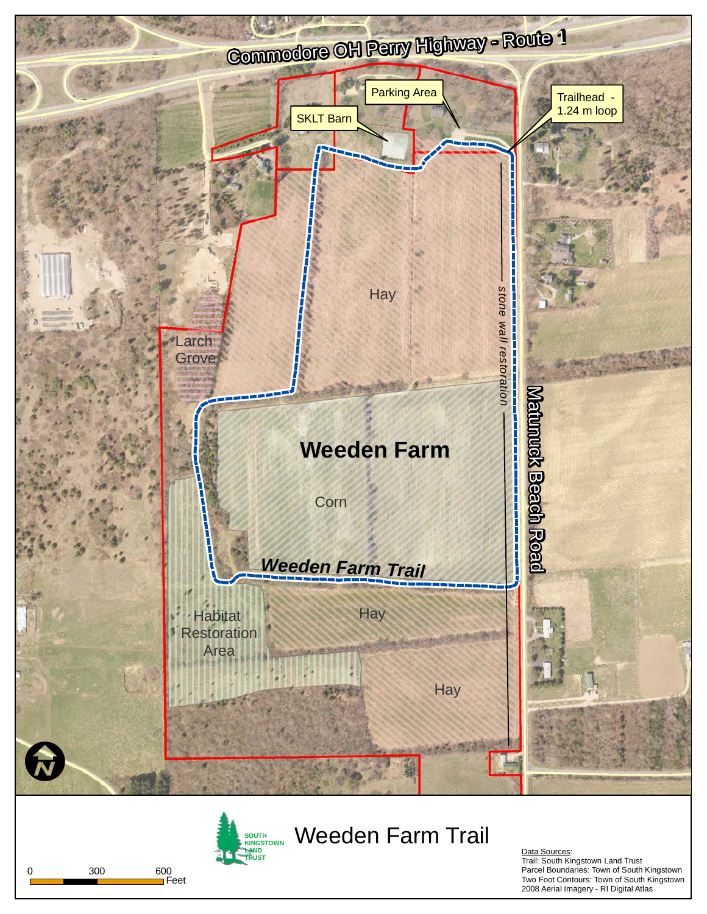

**SOUTH Weeden Farm Trail KINGSTOWN LAND**  <u>Data Sources</u>:<br>Trail: South Kingstown Land Trust<br>Parcel Boundaries: Town of South Kingstown<br>Parcel Boundaries: Town of South Kingstown

Two Foot Contours: Town of South Kingstown 2008 Aerial Imagery - RI Digital Atlas



Feet